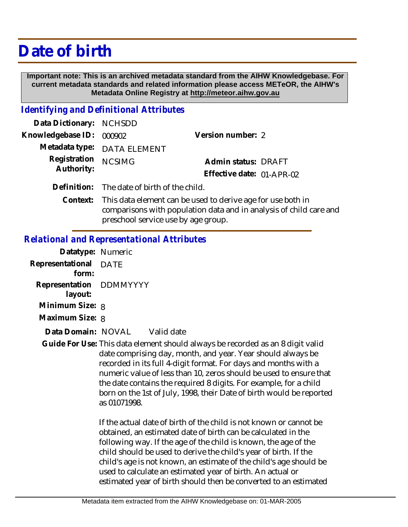## **Date of birth**

 **Important note: This is an archived metadata standard from the AIHW Knowledgebase. For current metadata standards and related information please access METeOR, the AIHW's Metadata Online Registry at http://meteor.aihw.gov.au**

## *Identifying and Definitional Attributes*

| Data Dictionary: NCHSDD           |                                                                                                                                                                                                                                                                                                           |                           |  |
|-----------------------------------|-----------------------------------------------------------------------------------------------------------------------------------------------------------------------------------------------------------------------------------------------------------------------------------------------------------|---------------------------|--|
| Knowledgebase ID: 000902          |                                                                                                                                                                                                                                                                                                           | Version number: 2         |  |
|                                   | Metadata type: DATA ELEMENT                                                                                                                                                                                                                                                                               |                           |  |
| Registration NCSIMG<br>Authority: |                                                                                                                                                                                                                                                                                                           | Admin status: DRAFT       |  |
|                                   |                                                                                                                                                                                                                                                                                                           | Effective date: 01-APR-02 |  |
|                                   | Definition: The date of birth of the child.                                                                                                                                                                                                                                                               |                           |  |
|                                   | $\bigcap_{i=1}^n$ , $\bigcup_{i=1}^n$ , $\bigcup_{i=1}^n$ , $\bigcup_{i=1}^n$ , $\bigcup_{i=1}^n$ , $\bigcap_{i=1}^n$ , $\bigcap_{i=1}^n$ , $\bigcap_{i=1}^n$ , $\bigcap_{i=1}^n$ , $\bigcap_{i=1}^n$ , $\bigcap_{i=1}^n$ , $\bigcap_{i=1}^n$ , $\bigcap_{i=1}^n$ , $\bigcap_{i=1}^n$ , $\bigcap_{i=1}^n$ |                           |  |

Context: This data element can be used to derive age for use both in comparisons with population data and in analysis of child care and preschool service use by age group.

## *Relational and Representational Attributes*

| Datatype: Numeric                  |      |            |
|------------------------------------|------|------------|
| Representational<br>form:          | DATE |            |
| Representation DDMMYYYY<br>layout: |      |            |
| Minimum Size: 8                    |      |            |
| Maximum Size: 8                    |      |            |
| Data Domain: NOVAL                 |      | Valid date |

Guide For Use: This data element should always be recorded as an 8 digit valid date comprising day, month, and year. Year should always be recorded in its full 4-digit format. For days and months with a numeric value of less than 10, zeros should be used to ensure that the date contains the required 8 digits. For example, for a child born on the 1st of July, 1998, their Date of birth would be reported as 01071998.

> If the actual date of birth of the child is not known or cannot be obtained, an estimated date of birth can be calculated in the following way. If the age of the child is known, the age of the child should be used to derive the child's year of birth. If the child's age is not known, an estimate of the child's age should be used to calculate an estimated year of birth. An actual or estimated year of birth should then be converted to an estimated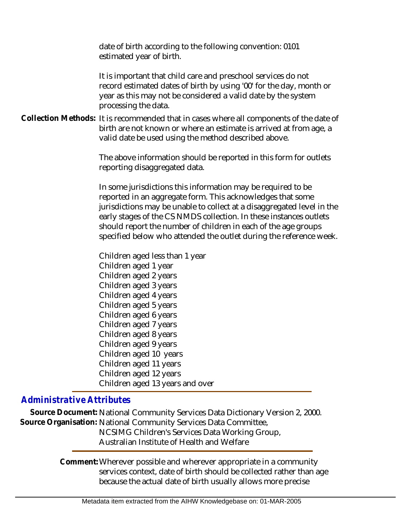date of birth according to the following convention: 0101 estimated year of birth.

It is important that child care and preschool services do not record estimated dates of birth by using '00' for the day, month or year as this may not be considered a valid date by the system processing the data.

Collection Methods: It is recommended that in cases where all components of the date of birth are not known or where an estimate is arrived at from age, a valid date be used using the method described above.

> The above information should be reported in this form for outlets reporting disaggregated data.

In some jurisdictions this information may be required to be reported in an aggregate form. This acknowledges that some jurisdictions may be unable to collect at a disaggregated level in the early stages of the CS NMDS collection. In these instances outlets should report the number of children in each of the age groups specified below who attended the outlet during the reference week.

Children aged less than 1 year Children aged 1 year Children aged 2 years Children aged 3 years Children aged 4 years Children aged 5 years Children aged 6 years Children aged 7 years Children aged 8 years Children aged 9 years Children aged 10 years Children aged 11 years Children aged 12 years Children aged 13 years and over

## *Administrative Attributes*

**Source Document:** National Community Services Data Dictionary Version 2, 2000. Source Organisation: National Community Services Data Committee, NCSIMG Children's Services Data Working Group, Australian Institute of Health and Welfare

> Comment: Wherever possible and wherever appropriate in a community services context, date of birth should be collected rather than age because the actual date of birth usually allows more precise